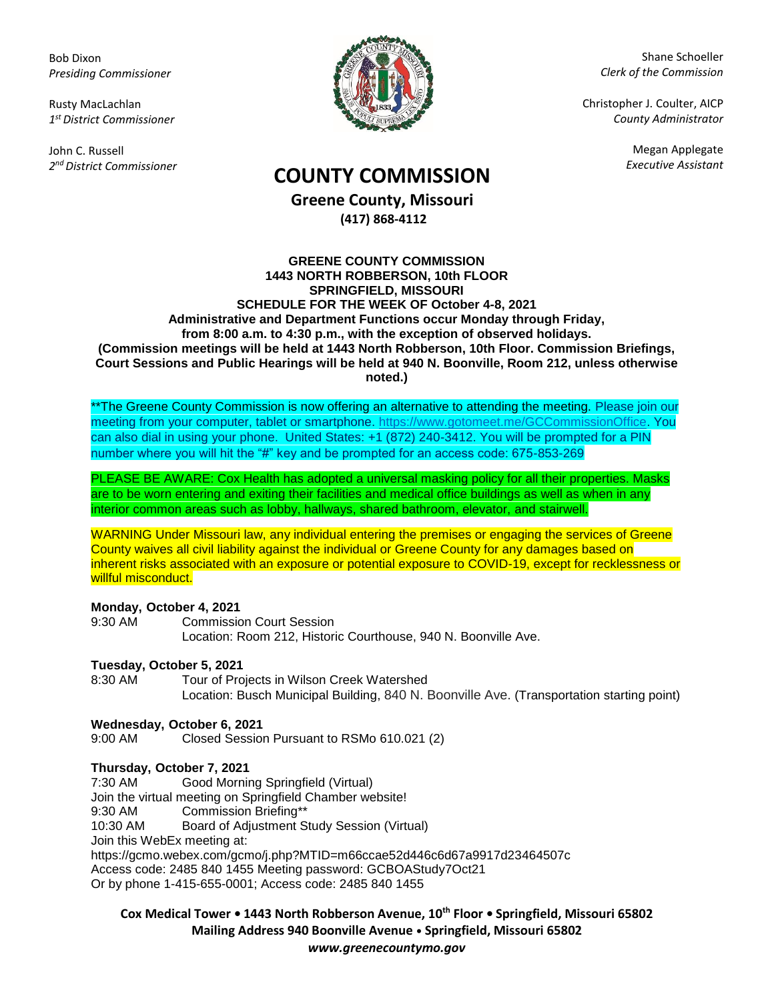Bob Dixon *Presiding Commissioner*

Rusty MacLachlan *1 st District Commissioner*

John C. Russell *2 nd District Commissioner*



Shane Schoeller *Clerk of the Commission*

Christopher J. Coulter, AICP *County Administrator*

Megan Applegate

# *Executive Assistant* **COUNTY COMMISSION**

**Greene County, Missouri (417) 868-4112**

#### **GREENE COUNTY COMMISSION 1443 NORTH ROBBERSON, 10th FLOOR SPRINGFIELD, MISSOURI SCHEDULE FOR THE WEEK OF October 4-8, 2021 Administrative and Department Functions occur Monday through Friday, from 8:00 a.m. to 4:30 p.m., with the exception of observed holidays. (Commission meetings will be held at 1443 North Robberson, 10th Floor. Commission Briefings, Court Sessions and Public Hearings will be held at 940 N. Boonville, Room 212, unless otherwise noted.)**

\*\*The Greene County Commission is now offering an alternative to attending the meeting. Please join our meeting from your computer, tablet or smartphone. [https://www.gotomeet.me/GCCommissionOffice.](https://www.gotomeet.me/GCCommissionOffice) You can also dial in using your phone. United States: +1 (872) 240-3412. You will be prompted for a PIN number where you will hit the "#" key and be prompted for an access code: 675-853-269

PLEASE BE AWARE: Cox Health has adopted a universal masking policy for all their properties. Masks are to be worn entering and exiting their facilities and medical office buildings as well as when in any interior common areas such as lobby, hallways, shared bathroom, elevator, and stairwell.

WARNING Under Missouri law, any individual entering the premises or engaging the services of Greene County waives all civil liability against the individual or Greene County for any damages based on inherent risks associated with an exposure or potential exposure to COVID-19, except for recklessness or willful misconduct.

#### **Monday, October 4, 2021**

9:30 AM Commission Court Session Location: Room 212, Historic Courthouse, 940 N. Boonville Ave.

## **Tuesday, October 5, 2021**

8:30 AM Tour of Projects in Wilson Creek Watershed Location: Busch Municipal Building, 840 N. Boonville Ave. (Transportation starting point)

## **Wednesday, October 6, 2021**

9:00 AM Closed Session Pursuant to RSMo 610.021 (2)

## **Thursday, October 7, 2021**

7:30 AM Good Morning Springfield (Virtual) Join the virtual meeting on Springfield Chamber website! 9:30 AM Commission Briefing\*\* 10:30 AM Board of Adjustment Study Session (Virtual) Join this WebEx meeting at: https://gcmo.webex.com/gcmo/j.php?MTID=m66ccae52d446c6d67a9917d23464507c Access code: 2485 840 1455 Meeting password: GCBOAStudy7Oct21 Or by phone 1-415-655-0001; Access code: 2485 840 1455

**Cox Medical Tower • 1443 North Robberson Avenue, 10th Floor • Springfield, Missouri 65802 Mailing Address 940 Boonville Avenue • Springfield, Missouri 65802** *www.greenecountymo.gov*